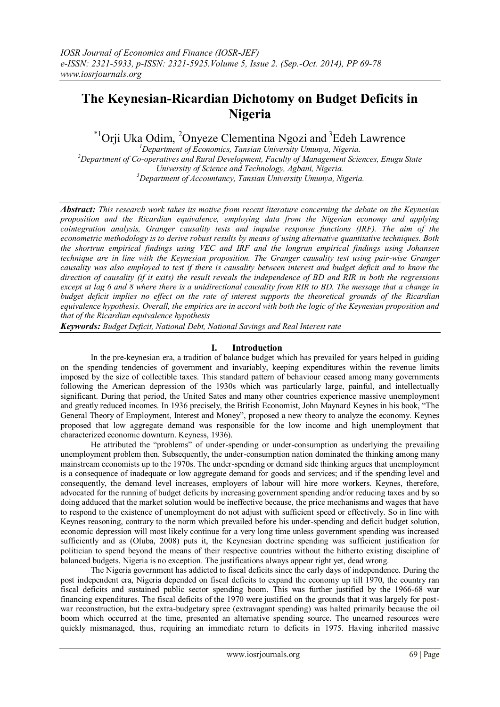# **The Keynesian-Ricardian Dichotomy on Budget Deficits in Nigeria**

 $\mathrm{^{*1}O}$ rji Uka Odim,  $\mathrm{^{2}O}$ nyeze Clementina Ngozi and  $\mathrm{^{3}E}$ deh Lawrence

*Department of Economics, Tansian University Umunya, Nigeria. Department of Co-operatives and Rural Development, Faculty of Management Sciences, Enugu State University of Science and Technology, Agbani, Nigeria. Department of Accountancy, Tansian University Umunya, Nigeria.*

*Abstract: This research work takes its motive from recent literature concerning the debate on the Keynesian proposition and the Ricardian equivalence, employing data from the Nigerian economy and applying cointegration analysis, Granger causality tests and impulse response functions (IRF). The aim of the econometric methodology is to derive robust results by means of using alternative quantitative techniques. Both the shortrun empirical findings using VEC and IRF and the longrun empirical findings using Johansen technique are in line with the Keynesian proposition. The Granger causality test using pair-wise Granger causality was also employed to test if there is causality between interest and budget deficit and to know the direction of causality (if it exits) the result reveals the independence of BD and RIR in both the regressions except at lag 6 and 8 where there is a unidirectional causality from RIR to BD. The message that a change in budget deficit implies no effect on the rate of interest supports the theoretical grounds of the Ricardian equivalence hypothesis. Overall, the empirics are in accord with both the logic of the Keynesian proposition and that of the Ricardian equivalence hypothesis* 

*Keywords: Budget Deficit, National Debt, National Savings and Real Interest rate*

# **I. Introduction**

In the pre-keynesian era, a tradition of balance budget which has prevailed for years helped in guiding on the spending tendencies of government and invariably, keeping expenditures within the revenue limits imposed by the size of collectible taxes. This standard pattern of behaviour ceased among many governments following the American depression of the 1930s which was particularly large, painful, and intellectually significant. During that period, the United Sates and many other countries experience massive unemployment and greatly reduced incomes. In 1936 precisely, the British Economist, John Maynard Keynes in his book, "The General Theory of Employment, Interest and Money", proposed a new theory to analyze the economy. Keynes proposed that low aggregate demand was responsible for the low income and high unemployment that characterized economic downturn. Keyness, 1936).

He attributed the "problems" of under-spending or under-consumption as underlying the prevailing unemployment problem then. Subsequently, the under-consumption nation dominated the thinking among many mainstream economists up to the 1970s. The under-spending or demand side thinking argues that unemployment is a consequence of inadequate or low aggregate demand for goods and services; and if the spending level and consequently, the demand level increases, employers of labour will hire more workers. Keynes, therefore, advocated for the running of budget deficits by increasing government spending and/or reducing taxes and by so doing adduced that the market solution would be ineffective because, the price mechanisms and wages that have to respond to the existence of unemployment do not adjust with sufficient speed or effectively. So in line with Keynes reasoning, contrary to the norm which prevailed before his under-spending and deficit budget solution, economic depression will most likely continue for a very long time unless government spending was increased sufficiently and as (Oluba, 2008) puts it, the Keynesian doctrine spending was sufficient justification for politician to spend beyond the means of their respective countries without the hitherto existing discipline of balanced budgets. Nigeria is no exception. The justifications always appear right yet, dead wrong.

The Nigeria government has addicted to fiscal deficits since the early days of independence. During the post independent era, Nigeria depended on fiscal deficits to expand the economy up till 1970, the country ran fiscal deficits and sustained public sector spending boom. This was further justified by the 1966-68 war financing expenditures. The fiscal deficits of the 1970 were justified on the grounds that it was largely for postwar reconstruction, but the extra-budgetary spree (extravagant spending) was halted primarily because the oil boom which occurred at the time, presented an alternative spending source. The unearned resources were quickly mismanaged, thus, requiring an immediate return to deficits in 1975. Having inherited massive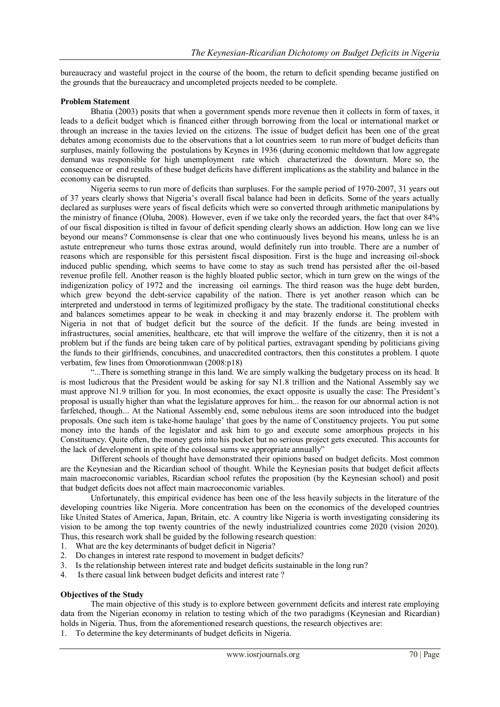bureaucracy and wasteful project in the course of the boom, the return to deficit spending became justified on the grounds that the bureaucracy and uncompleted projects needed to be complete.

#### **Problem Statement**

Bhatia (2003) posits that when a government spends more revenue then it collects in form of taxes, it leads to a deficit budget which is financed either through borrowing from the local or international market or through an increase in the taxies levied on the citizens. The issue of budget deficit has been one of the great debates among economists due to the observations that a lot countries seem to run more of budget deficits than surpluses, mainly following the postulations by Keynes in 1936 (during economic meltdown that low aggregate demand was responsible for high unemployment rate which characterized the downturn. More so, the consequence or end results of these budget deficits have different implications as the stability and balance in the economy can be disrupted.

Nigeria seems to run more of deficits than surpluses. For the sample period of 1970-2007, 31 years out of 37 years clearly shows that Nigeria"s overall fiscal balance had been in deficits. Some of the years actually declared as surpluses were years of fiscal deficits which were so converted through arithmetic manipulations by the ministry of finance (Oluba, 2008). However, even if we take only the recorded years, the fact that over 84% of our fiscal disposition is tilted in favour of deficit spending clearly shows an addiction. How long can we live beyond our means? Commonsense is clear that one who continuously lives beyond his means, unless he is an astute entrepreneur who turns those extras around, would definitely run into trouble. There are a number of reasons which are responsible for this persistent fiscal disposition. First is the huge and increasing oil-shock induced public spending, which seems to have come to stay as such trend has persisted after the oil-based revenue profile fell. Another reason is the highly bloated public sector, which in turn grew on the wings of the indigenization policy of 1972 and the increasing oil earnings. The third reason was the huge debt burden, which grew beyond the debt-service capability of the nation. There is yet another reason which can be interpreted and understood in terms of legitimized profligacy by the state. The traditional constitutional checks and balances sometimes appear to be weak in checking it and may brazenly endorse it. The problem with Nigeria in not that of budget deficit but the source of the deficit. If the funds are being invested in infrastructures, social amenities, healthcare, etc that will improve the welfare of the citizenry, then it is not a problem but if the funds are being taken care of by political parties, extravagant spending by politicians giving the funds to their girlfriends, concubines, and unaccredited contractors, then this constitutes a problem. I quote verbatim, few lines from Omorotionmwan (2008:p18)

"...There is something strange in this land. We are simply walking the budgetary process on its head. It is most ludicrous that the President would be asking for say N1.8 trillion and the National Assembly say we must approve N1.9 trillion for you. In most economies, the exact opposite is usually the case: The President"s proposal is usually higher than what the legislature approves for him... the reason for our abnormal action is not farfetched, though... At the National Assembly end, some nebulous items are soon introduced into the budget proposals. One such item is take-home haulage" that goes by the name of Constituency projects. You put some money into the hands of the legislator and ask him to go and execute some amorphous projects in his Constituency. Quite often, the money gets into his pocket but no serious project gets executed. This accounts for the lack of development in spite of the colossal sums we appropriate annually"

Different schools of thought have demonstrated their opinions based on budget deficits. Most common are the Keynesian and the Ricardian school of thought. While the Keynesian posits that budget deficit affects main macroeconomic variables, Ricardian school refutes the proposition (by the Keynesian school) and posit that budget deficits does not affect main macroeconomic variables.

Unfortunately, this empirical evidence has been one of the less heavily subjects in the literature of the developing countries like Nigeria. More concentration has been on the economics of the developed countries like United States of America, Japan, Britain, etc. A country like Nigeria is worth investigating considering its vision to be among the top twenty countries of the newly industrialized countries come 2020 (vision 2020). Thus, this research work shall be guided by the following research question:

- 1. What are the key determinants of budget deficit in Nigeria?
- 2. Do changes in interest rate respond to movement in budget deficits?<br>3. Is the relationship between interest rate and budget deficits sustainal
- Is the relationship between interest rate and budget deficits sustainable in the long run?
- 4. Is there casual link between budget deficits and interest rate ?

#### **Objectives of the Study**

The main objective of this study is to explore between government deficits and interest rate employing data from the Nigerian economy in relation to testing which of the two paradigms (Keynesian and Ricardian) holds in Nigeria. Thus, from the aforementioned research questions, the research objectives are:

1. To determine the key determinants of budget deficits in Nigeria.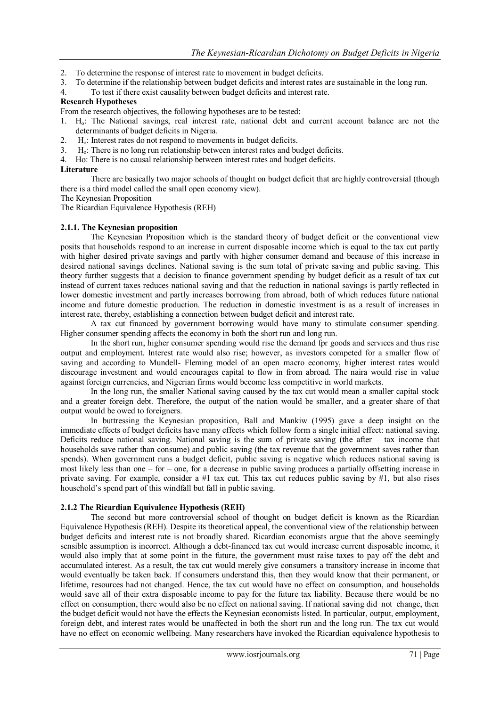- 2. To determine the response of interest rate to movement in budget deficits.
- 3. To determine if the relationship between budget deficits and interest rates are sustainable in the long run.
- 4. To test if there exist causality between budget deficits and interest rate.

### **Research Hypotheses**

From the research objectives, the following hypotheses are to be tested:

- 1. Ho: The National savings, real interest rate, national debt and current account balance are not the determinants of budget deficits in Nigeria.
- 2. H<sub>o</sub>: Interest rates do not respond to movements in budget deficits.
- 3. Ho: There is no long run relationship between interest rates and budget deficits.
- 4. Ho: There is no causal relationship between interest rates and budget deficits.

#### **Literature**

There are basically two major schools of thought on budget deficit that are highly controversial (though there is a third model called the small open economy view).

The Keynesian Proposition

The Ricardian Equivalence Hypothesis (REH)

# **2.1.1. The Keynesian proposition**

The Keynesian Proposition which is the standard theory of budget deficit or the conventional view posits that households respond to an increase in current disposable income which is equal to the tax cut partly with higher desired private savings and partly with higher consumer demand and because of this increase in desired national savings declines. National saving is the sum total of private saving and public saving. This theory further suggests that a decision to finance government spending by budget deficit as a result of tax cut instead of current taxes reduces national saving and that the reduction in national savings is partly reflected in lower domestic investment and partly increases borrowing from abroad, both of which reduces future national income and future domestic production. The reduction in domestic investment is as a result of increases in interest rate, thereby, establishing a connection between budget deficit and interest rate.

A tax cut financed by government borrowing would have many to stimulate consumer spending. Higher consumer spending affects the economy in both the short run and long run.

In the short run, higher consumer spending would rise the demand fpr goods and services and thus rise output and employment. Interest rate would also rise; however, as investors competed for a smaller flow of saving and according to Mundell- Fleming model of an open macro economy, higher interest rates would discourage investment and would encourages capital to flow in from abroad. The naira would rise in value against foreign currencies, and Nigerian firms would become less competitive in world markets.

In the long run, the smaller National saving caused by the tax cut would mean a smaller capital stock and a greater foreign debt. Therefore, the output of the nation would be smaller, and a greater share of that output would be owed to foreigners.

In buttressing the Keynesian proposition, Ball and Mankiw (1995) gave a deep insight on the immediate effects of budget deficits have many effects which follow form a single initial effect: national saving. Deficits reduce national saving. National saving is the sum of private saving (the after – tax income that households save rather than consume) and public saving (the tax revenue that the government saves rather than spends). When government runs a budget deficit, public saving is negative which reduces national saving is most likely less than one – for – one, for a decrease in public saving produces a partially offsetting increase in private saving. For example, consider a #1 tax cut. This tax cut reduces public saving by #1, but also rises household"s spend part of this windfall but fall in public saving.

# **2.1.2 The Ricardian Equivalence Hypothesis (REH)**

The second but more controversial school of thought on budget deficit is known as the Ricardian Equivalence Hypothesis (REH). Despite its theoretical appeal, the conventional view of the relationship between budget deficits and interest rate is not broadly shared. Ricardian economists argue that the above seemingly sensible assumption is incorrect. Although a debt-financed tax cut would increase current disposable income, it would also imply that at some point in the future, the government must raise taxes to pay off the debt and accumulated interest. As a result, the tax cut would merely give consumers a transitory increase in income that would eventually be taken back. If consumers understand this, then they would know that their permanent, or lifetime, resources had not changed. Hence, the tax cut would have no effect on consumption, and households would save all of their extra disposable income to pay for the future tax liability. Because there would be no effect on consumption, there would also be no effect on national saving. If national saving did not change, then the budget deficit would not have the effects the Keynesian economists listed. In particular, output, employment, foreign debt, and interest rates would be unaffected in both the short run and the long run. The tax cut would have no effect on economic wellbeing. Many researchers have invoked the Ricardian equivalence hypothesis to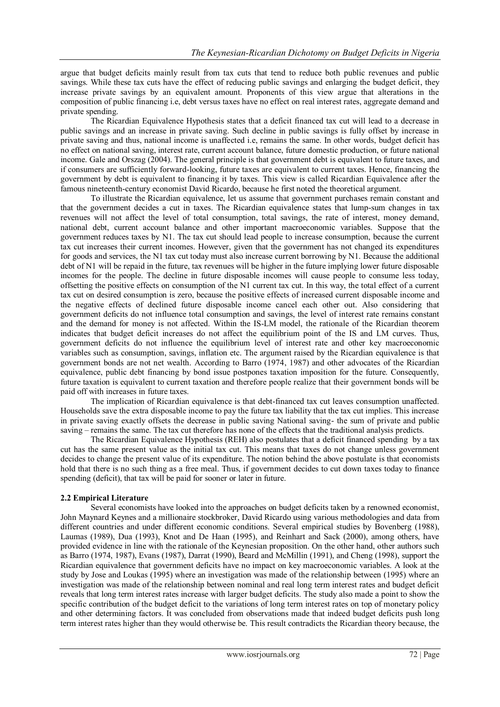argue that budget deficits mainly result from tax cuts that tend to reduce both public revenues and public savings. While these tax cuts have the effect of reducing public savings and enlarging the budget deficit, they increase private savings by an equivalent amount. Proponents of this view argue that alterations in the composition of public financing i.e, debt versus taxes have no effect on real interest rates, aggregate demand and private spending.

The Ricardian Equivalence Hypothesis states that a deficit financed tax cut will lead to a decrease in public savings and an increase in private saving. Such decline in public savings is fully offset by increase in private saving and thus, national income is unaffected i.e, remains the same. In other words, budget deficit has no effect on national saving, interest rate, current account balance, future domestic production, or future national income. Gale and Orszag (2004). The general principle is that government debt is equivalent to future taxes, and if consumers are sufficiently forward-looking, future taxes are equivalent to current taxes. Hence, financing the government by debt is equivalent to financing it by taxes. This view is called Ricardian Equivalence after the famous nineteenth-century economist David Ricardo, because he first noted the theoretical argument.

To illustrate the Ricardian equivalence, let us assume that government purchases remain constant and that the government decides a cut in taxes. The Ricardian equivalence states that lump-sum changes in tax revenues will not affect the level of total consumption, total savings, the rate of interest, money demand, national debt, current account balance and other important macroeconomic variables. Suppose that the government reduces taxes by N1. The tax cut should lead people to increase consumption, because the current tax cut increases their current incomes. However, given that the government has not changed its expenditures for goods and services, the N1 tax cut today must also increase current borrowing by N1. Because the additional debt of N1 will be repaid in the future, tax revenues will be higher in the future implying lower future disposable incomes for the people. The decline in future disposable incomes will cause people to consume less today, offsetting the positive effects on consumption of the N1 current tax cut. In this way, the total effect of a current tax cut on desired consumption is zero, because the positive effects of increased current disposable income and the negative effects of declined future disposable income cancel each other out. Also considering that government deficits do not influence total consumption and savings, the level of interest rate remains constant and the demand for money is not affected. Within the IS-LM model, the rationale of the Ricardian theorem indicates that budget deficit increases do not affect the equilibrium point of the IS and LM curves. Thus, government deficits do not influence the equilibrium level of interest rate and other key macroeconomic variables such as consumption, savings, inflation etc. The argument raised by the Ricardian equivalence is that government bonds are not net wealth. According to Barro (1974, 1987) and other advocates of the Ricardian equivalence, public debt financing by bond issue postpones taxation imposition for the future. Consequently, future taxation is equivalent to current taxation and therefore people realize that their government bonds will be paid off with increases in future taxes.

The implication of Ricardian equivalence is that debt-financed tax cut leaves consumption unaffected. Households save the extra disposable income to pay the future tax liability that the tax cut implies. This increase in private saving exactly offsets the decrease in public saving National saving- the sum of private and public saving – remains the same. The tax cut therefore has none of the effects that the traditional analysis predicts.

The Ricardian Equivalence Hypothesis (REH) also postulates that a deficit financed spending by a tax cut has the same present value as the initial tax cut. This means that taxes do not change unless government decides to change the present value of its expenditure. The notion behind the above postulate is that economists hold that there is no such thing as a free meal. Thus, if government decides to cut down taxes today to finance spending (deficit), that tax will be paid for sooner or later in future.

# **2.2 Empirical Literature**

Several economists have looked into the approaches on budget deficits taken by a renowned economist, John Maynard Keynes and a millionaire stockbroker, David Ricardo using various methodologies and data from different countries and under different economic conditions. Several empirical studies by Bovenberg (1988), Laumas (1989), Dua (1993), Knot and De Haan (1995), and Reinhart and Sack (2000), among others, have provided evidence in line with the rationale of the Keynesian proposition. On the other hand, other authors such as Barro (1974, 1987), Evans (1987), Darrat (1990), Beard and McMillin (1991), and Cheng (1998), support the Ricardian equivalence that government deficits have no impact on key macroeconomic variables. A look at the study by Jose and Loukas (1995) where an investigation was made of the relationship between (1995) where an investigation was made of the relationship between nominal and real long term interest rates and budget deficit reveals that long term interest rates increase with larger budget deficits. The study also made a point to show the specific contribution of the budget deficit to the variations of long term interest rates on top of monetary policy and other determining factors. It was concluded from observations made that indeed budget deficits push long term interest rates higher than they would otherwise be. This result contradicts the Ricardian theory because, the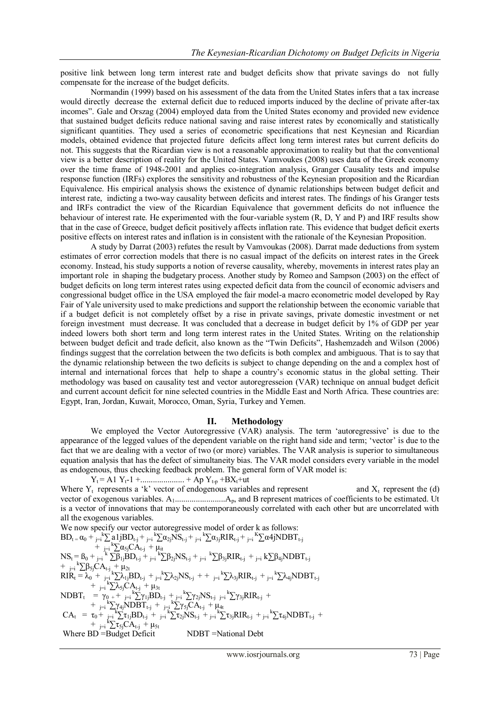positive link between long term interest rate and budget deficits show that private savings do not fully compensate for the increase of the budget deficits.

Normandin (1999) based on his assessment of the data from the United States infers that a tax increase would directly decrease the external deficit due to reduced imports induced by the decline of private after-tax incomes". Gale and Orszag (2004) employed data from the United States economy and provided new evidence that sustained budget deficits reduce national saving and raise interest rates by economically and statistically significant quantities. They used a series of econometric specifications that nest Keynesian and Ricardian models, obtained evidence that projected future deficits affect long term interest rates but current deficits do not. This suggests that the Ricardian view is not a reasonable approximation to reality but that the conventional view is a better description of reality for the United States. Vamvoukes (2008) uses data of the Greek economy over the time frame of 1948-2001 and applies co-integration analysis, Granger Causality tests and impulse response function (IRFs) explores the sensitivity and robustness of the Keynesian proposition and the Ricardian Equivalence. His empirical analysis shows the existence of dynamic relationships between budget deficit and interest rate, indicting a two-way causality between deficits and interest rates. The findings of his Granger tests and IRFs contradict the view of the Ricardian Equivalence that government deficits do not influence the behaviour of interest rate. He experimented with the four-variable system (R, D, Y and P) and IRF results show that in the case of Greece, budget deficit positively affects inflation rate. This evidence that budget deficit exerts positive effects on interest rates and inflation is in consistent with the rationale of the Keynesian Proposition.

A study by Darrat (2003) refutes the result by Vamvoukas (2008). Darrat made deductions from system estimates of error correction models that there is no casual impact of the deficits on interest rates in the Greek economy. Instead, his study supports a notion of reverse causality, whereby, movements in interest rates play an important role in shaping the budgetary process. Another study by Romeo and Sampson (2003) on the effect of budget deficits on long term interest rates using expected deficit data from the council of economic advisers and congressional budget office in the USA employed the fair model-a macro econometric model developed by Ray Fair of Yale university used to make predictions and support the relationship between the economic variable that if a budget deficit is not completely offset by a rise in private savings, private domestic investment or net foreign investment must decrease. It was concluded that a decrease in budget deficit by 1% of GDP per year indeed lowers both short term and long term interest rates in the United States. Writing on the relationship between budget deficit and trade deficit, also known as the "Twin Deficits", Hashemzadeh and Wilson (2006) findings suggest that the correlation between the two deficits is both complex and ambiguous. That is to say that the dynamic relationship between the two deficits is subject to change depending on the and a complex host of internal and international forces that help to shape a country"s economic status in the global setting. Their methodology was based on causality test and vector autoregresseion (VAR) technique on annual budget deficit and current account deficit for nine selected countries in the Middle East and North Africa. These countries are: Egypt, Iran, Jordan, Kuwait, Morocco, Oman, Syria, Turkey and Yemen.

# **II. Methodology**

We employed the Vector Autoregressive (VAR) analysis. The term 'autoregressive' is due to the appearance of the legged values of the dependent variable on the right hand side and term; 'vector' is due to the fact that we are dealing with a vector of two (or more) variables. The VAR analysis is superior to simultaneous equation analysis that has the defect of simultaneity bias. The VAR model considers every variable in the model as endogenous, thus checking feedback problem. The general form of VAR model is:

 $Y_t = A1 Y_t - 1 + \dots + Ap Y_{t-p} + BX_t + ut$ Where  $Y_t$  represents a 'k' vector of endogenous variables and represent and  $X_t$  represent the (d) vector of exogenous variables. A1........................Ap, and B represent matrices of coefficients to be estimated. Ut is a vector of innovations that may be contemporaneously correlated with each other but are uncorrelated with all the exogenous variables.

We now specify our vector autoregressive model of order k as follows:  $BD_t = \alpha_0 + \sum_{j=i}^{k} a_{i,j} BD_{t-j} + \sum_{j=i}^{k} \alpha_{2j} NS_{t-j} + \sum_{j=i}^{k} \alpha_{3j} RIR_{t-j} + \sum_{j=i}^{k} \alpha_{4j} NDBT_{t-j}$  $+$   $\sum_{j=1}^{k} k \sum_{j=1}^{k} \alpha_{5j} C A_{t-j} + \mu_{it}$  $NS_t = B_0 + \sum_{j=1}^{k} \sum_{i=1}^{k} \beta_{1j} BD_{t-j} + \sum_{j=1}^{k} \sum_{i=1}^{k} \beta_{2j} NS_{t-j} + \sum_{j=1}^{k} \sum_{i=1}^{k} \beta_{3j} RIR_{t-j} + \sum_{j=1}^{k} k \sum_{i=1}^{k} \beta_{4j} NDBT_{t-j}$  $+$   $_{j=i}^{k} \sum \beta_{5j} CA_{t-j} + \mu_{2t}$  $\overline{RIR}_{t} = \lambda_0 + \sum_{j=1}^{k} \sum \lambda_{1j} BD_{t-j} + \sum_{j=1}^{k} \sum \lambda_{2j} NS_{t-j} + \sum_{j=1}^{k} \sum \lambda_{3j} RIR_{t-j} + \sum_{j=1}^{k} \sum \lambda_{4j} NDBT_{t-j}$  $+$   $\frac{1}{j=1}$ <sup>k</sup> $\sum \lambda_{5j}CA_{t-j} + \mu_{3t}$  $NDBT_t = \gamma_0 + \sum_{j=1}^{k} k \sum_{j=1}^{k} \gamma_{1j} BD_{t-j} + \sum_{j=1}^{k} k \sum_{j=1}^{k} NS_{t-j} + \sum_{j=1}^{k} \gamma_{3j} RIR_{t-j}$ +  $_{j=i}$ <sup>k</sup> $\sum$ γ<sub>4j</sub>NDBT<sub>t-j</sub> +  $_{j=i}$ <sup>k</sup> $\sum$ γ<sub>5j</sub>CA<sub>t-j</sub> + μ<sub>4t</sub>  $CA_t = \tau_0 + \sum_{j=1}^k \sum_{i=1}^k B_{t-j} + \sum_{j=1}^k \sum_{i=1}^k N S_{t-j} + \sum_{j=1}^k \sum_{i=1}^k T_{i,j} R I R_{t-j} + \sum_{j=1}^k \sum_{i=1}^k N D B T_{t-j} +$  $+$   $_{j=i}^{k}$   $\sum_{i}^{k}$   $C A_{t-j}$   $+$   $\mu_{5t}$ Where BD = Budget Deficit NDBT = National Debt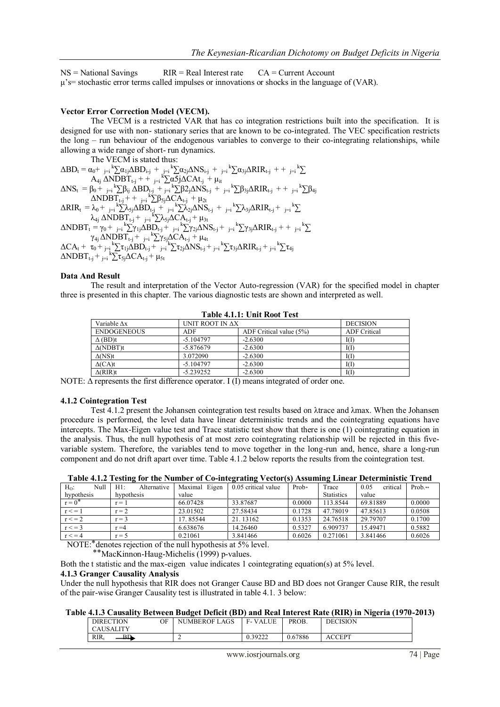$NS = National Savings$  RIR = Real Interest rate  $CA = Current Account$ μ"s= stochastic error terms called impulses or innovations or shocks in the language of (VAR).

#### **Vector Error Correction Model (VECM).**

The VECM is a restricted VAR that has co integration restrictions built into the specification. It is designed for use with non- stationary series that are known to be co-integrated. The VEC specification restricts the long – run behaviour of the endogenous variables to converge to their co-integrating relationships, while allowing a wide range of short- run dynamics.

The VECM is stated thus:  $\Delta BD_t = \alpha_0 + \sum_{j=i}^{k} \sum_{i} \alpha_{1j} \Delta BD_{i-j} + \sum_{j=i}^{k} \sum_{i} \alpha_{2j} \Delta NS_{i-j} + \sum_{j=i}^{k} \sum_{i} \alpha_{3j} \Delta RIR_{t-j} + \sum_{j=i}^{k} \sum_{i} \alpha_{3j} \Delta RIR_{t-j}$  $A_{4j} \triangle \overrightarrow{NDBT}_{t-j}$  + +  $j=i \sum_{i} \overline{adj} \triangle CAt_{-j} + \mu_{it}$  $\Delta NS_t = \beta_0 + \sum_{j=i}^{k} \sum \beta_{ij} \Delta BD_{t-j} + \sum_{j=i}^{k} \sum \beta_{j} \Delta NS_{t-j} + \sum_{j=i}^{k} \sum \beta_{3j} \Delta RIR_{t-j} + \sum_{j=i}^{k} \sum \beta_{4j}$  $\Delta \text{NDBT}_{t-j}$  + +  $\sum_{j=1}^{k} \sum \beta_{5j} \Delta \overrightarrow{CA}_{t-j}$  +  $\mu_{2t}$  $\Delta RIR_{t} = \lambda_0 + \sum_{j=i}^{k} \sum_{j=1}^{k} \Delta_{jj} \Delta BD_{t-j} + \sum_{j=i}^{k} \sum_{k}^{k} \Delta_{jj} \Delta NS_{t-j} + \sum_{j=i}^{k} \sum_{k}^{k} \Delta_{jj} \Delta RIR_{t-j} + \sum_{j=i}^{k} \sum_{k}^{k} \Delta_{jj} \Delta RIR_{t-j}$  $\lambda_{4j} \triangle \text{NDBT}_{t-j} + \frac{1}{j=1} \frac{\text{K}}{\text{K}} \sum \lambda_{5j} \triangle \text{CA}_{t-j} + \mu_{3t}$  $\triangle NDBT_t = \gamma_0 + \sum_{j=i}^{k} \sum_{i=1}^{k} \hat{Y}_{1j} \triangle BD_{t-j} + \sum_{j=i}^{k} \sum_{i=1}^{k} \hat{Y}_{2j} \triangle NS_{t-j} + \sum_{j=i}^{k} \sum_{i=1}^{k} \hat{Y}_{3j} \triangle RIR_{t-j} + \sum_{j=i}^{k} \sum_{i=1}^{k} \hat{Y}_{3j}$  $\gamma_{4j}$   $\Delta \text{NDBT}_{t-j} + \sum_{j=i}^{k} \sum_{j}^{k} \gamma_{5j} \Delta \text{CA}_{t-j} + \mu_{4t}$  $\Delta \text{CA}_\text{t} + \tau_0 + \frac{1}{j=1} \sum_{i} \tau_{1j} \Delta \text{BD}_{\text{t-j}} + \frac{1}{j=1} \sum_{i} \tau_{2i} \Delta \text{NS}_{\text{t-j}} + \frac{1}{j=1} \sum_{i} \tau_{3j} \Delta \text{RIR}_{\text{t-j}} + \frac{1}{j=1} \sum_{i} \tau_{4j}$  $\triangle NDBT_{t-j} + \sum_{j=i}^{k} k \overline{\sum} \tau_{5j} \triangle CA_{t-j} + \mu_{5t}$ 

#### **Data And Result**

The result and interpretation of the Vector Auto-regression (VAR) for the specified model in chapter three is presented in this chapter. The various diagnostic tests are shown and interpreted as well.

| TAVIV 7.1.1. VIIIV IXVVU TVSV |                 |                         |                     |  |  |  |
|-------------------------------|-----------------|-------------------------|---------------------|--|--|--|
| Variable Ax                   | UNIT ROOT IN AX |                         | <b>DECISION</b>     |  |  |  |
| <b>ENDOGENEOUS</b>            | <b>ADF</b>      | ADF Critical value (5%) | <b>ADF</b> Critical |  |  |  |
| $\Delta$ (BD)t                | $-5.104797$     | $-2.6300$               | I(I)                |  |  |  |
| $\triangle (NDBT)t$           | $-5.876679$     | $-2.6300$               | I(F                 |  |  |  |
| $\Delta$ (NS)t                | 3.072090        | $-2.6300$               | I(I)                |  |  |  |
| $\Delta$ (CA)t                | $-5.104797$     | $-2.6300$               | I(I)                |  |  |  |
| $\Delta$ (RIR)t               | $-5.239252$     | $-2.6300$               | I(Г                 |  |  |  |

**Table 4.1.1: Unit Root Test**

NOTE:  $\Delta$  represents the first difference operator. I (I) means integrated of order one.

#### **4.1.2 Cointegration Test**

Test 4.1.2 present the Johansen cointegration test results based on λtrace and λmax. When the Johansen procedure is performed, the level data have linear deterministic trends and the cointegrating equations have intercepts. The Max-Eigen value test and Trace statistic test show that there is one (1) cointegrating equation in the analysis. Thus, the null hypothesis of at most zero cointegrating relationship will be rejected in this fivevariable system. Therefore, the variables tend to move together in the long-run and, hence, share a long-run component and do not drift apart over time. Table 4.1.2 below reports the results from the cointegration test.

| Table 4.1.2 Testing for the Funniter of Co-mitterfathing vector(s) Assuming Emical Deterministic Trend |                    |               |                     |         |                   |                  |          |
|--------------------------------------------------------------------------------------------------------|--------------------|---------------|---------------------|---------|-------------------|------------------|----------|
| Null<br>$H_0$ :                                                                                        | Alternative<br>H1: | Maximal Eigen | 0.05 critical value | $Prob*$ | Trace             | critical<br>0.05 | $Prob**$ |
| hypothesis<br>hypothesis                                                                               |                    | value         |                     |         | <b>Statistics</b> | value            |          |
| $r = 0^*$                                                                                              | r = 1              | 66.07428      | 33.87687            | 0.0000  | 113.8544          | 69.81889         | 0.0000   |
| $r \leq 1$                                                                                             | $r = 2$            | 23.01502      | 27.58434            | 0.1728  | 47.78019          | 47.85613         | 0.0508   |
| $r \leq 2$                                                                                             | $r = 3$            | 17.85544      | 21.13162            | 0.1353  | 24.76518          | 29.79707         | 0.1700   |
| $r \leq 3$                                                                                             | $r = 4$            | 6.638676      | 14.26460            | 0.5327  | 6.909737          | 15.49471         | 0.5882   |
| $r \leq 4$                                                                                             | $r = 5$            | 0.21061       | 3.841466            | 0.6026  | 0.271061          | 3.841466         | 0.6026   |

NOTE:<sup>\*</sup> denotes rejection of the null hypothesis at 5% level.

⃰ ⃰ MacKinnon-Haug-Michelis (1999) p-values.

Both the t statistic and the max-eigen value indicates 1 cointegrating equation(s) at 5% level.

### **4.1.3 Granger Causality Analysis**

Under the null hypothesis that RIR does not Granger Cause BD and BD does not Granger Cause RIR, the result of the pair-wise Granger Causality test is illustrated in table 4.1. 3 below:

#### **Table 4.1.3 Causality Between Budget Deficit (BD) and Real Interest Rate (RIR) in Nigeria (1970-2013)**

| ----- |                    |    |                           |                          |         |                 |  |
|-------|--------------------|----|---------------------------|--------------------------|---------|-----------------|--|
|       | <b>DIRECTION</b>   | OΕ | .AGS<br><b>NUMBEROF I</b> | <b>VALUE</b><br>F- V     | PROB.   | <b>DECISION</b> |  |
|       | CAUSALITY          |    |                           |                          |         |                 |  |
|       | RIR.<br>RD.<br>--- |    | ∼                         | 39222<br>0. <i>31444</i> | 0.67886 | ACCEPT          |  |
|       |                    |    |                           |                          |         |                 |  |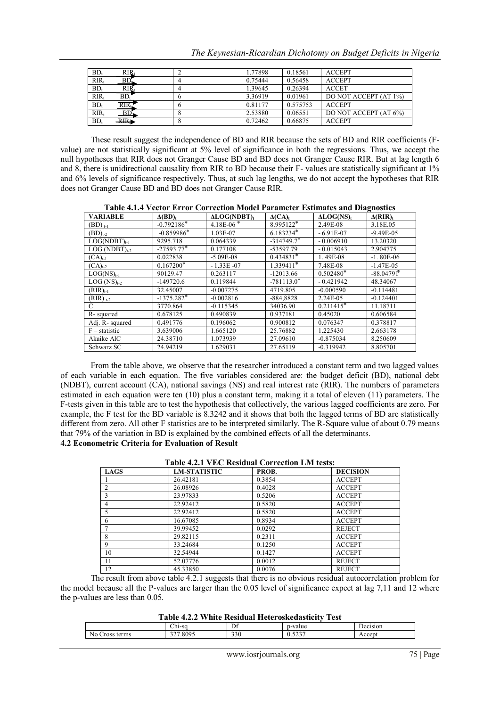| $BD_t$  | $RIR_t$         | 1.77898 | 0.18561  | <b>ACCEPT</b>         |
|---------|-----------------|---------|----------|-----------------------|
| $RIR_t$ | BD <sub>n</sub> | 0.75444 | 0.56458  | <b>ACCEPT</b>         |
| $BD_1$  | $\rm RIR_t$     | 1.39645 | 0.26394  | <b>ACCET</b>          |
| $RIR_t$ | BD.             | 3.36919 | 0.01961  | DO NOT ACCEPT (AT 1%) |
| $BD_t$  | RIR,            | 0.81177 | 0.575753 | <b>ACCEPT</b>         |
| $RIR_t$ | BD              | 2.53880 | 0.06551  | DO NOT ACCEPT (AT 6%) |
| $BD_t$  | RIR             | 0.72462 | 0.66875  | <b>ACCEPT</b>         |

These result suggest the independence of BD and RIR because the sets of BD and RIR coefficients (Fvalue) are not statistically significant at 5% level of significance in both the regressions. Thus, we accept the null hypotheses that RIR does not Granger Cause BD and BD does not Granger Cause RIR. But at lag length 6 and 8, there is unidirectional causality from RIR to BD because their F- values are statistically significant at 1% and 6% levels of significance respectively. Thus, at such lag lengths, we do not accept the hypotheses that RIR does not Granger Cause BD and BD does not Granger Cause RIR.

| Table 4.1.4 Vector Error Correction Model Farancier Estimates and Diagnosites |                |                |               |              |                             |  |  |
|-------------------------------------------------------------------------------|----------------|----------------|---------------|--------------|-----------------------------|--|--|
| <b>VARIABLE</b>                                                               | $\Delta(BD)_t$ | $ALOG(NDBT)_t$ | $\Delta (CA)$ | $ALOG(NS)_t$ | $\Delta$ (RIR) <sub>t</sub> |  |  |
| $(BD)_{t-1}$                                                                  | $-0.792186*$   | $4.18E-06*$    | $8.995122*$   | 2.49E-08     | 3.18E.05                    |  |  |
| $(BD)_{t-2}$                                                                  | $-0.859986*$   | 1.03E-07       | $6.183234*$   | $-6.91E-07$  | $-9.49E - 05$               |  |  |
| $LOG(NDBT)_{t-1}$                                                             | 9295.718       | 0.064339       | $-314749.7*$  | $-0.006910$  | 13.20320                    |  |  |
| $LOG (NDBT)_{t-2}$                                                            | $-27593.77*$   | 0.177108       | -53597.79     | $-0.015043$  | 2.904775                    |  |  |
| $(CA)_{t-1}$                                                                  | 0.022838       | $-5.09E - 08$  | $0.434831*$   | 1.49E-08     | $-1.80E-06$                 |  |  |
| $(CA)t-2$                                                                     | $0.167200*$    | $-1.33E -07$   | $1.339411*$   | 7.48E-08     | $-1.47E-0.5$                |  |  |
| $LOG(NS)_{t-1}$                                                               | 90129.47       | 0.263117       | $-12013.66$   | $0.502480*$  | $-88.04791*$                |  |  |
| $LOG (NS)_{t-2}$                                                              | $-149720.6$    | 0.119844       | $-781113.0*$  | $-0.421942$  | 48.34067                    |  |  |
| $(RIR)_{t-1}$                                                                 | 32.45007       | $-0.007275$    | 4719.805      | $-0.000590$  | $-0.114481$                 |  |  |
| $(RIR)_{t-2}$                                                                 | $-1375.282*$   | $-0.002816$    | $-884,8828$   | 2.24E-05     | $-0.124401$                 |  |  |
| C                                                                             | 3770.864       | $-0.115345$    | 34036.90      | $0.211415*$  | 11.18711                    |  |  |
| R-squared                                                                     | 0.678125       | 0.490839       | 0.937181      | 0.45020      | 0.606584                    |  |  |
| Adj. R-squared                                                                | 0.491776       | 0.196062       | 0.900812      | 0.076347     | 0.378817                    |  |  |
| $F -$ statistic                                                               | 3.639006       | 1.665120       | 25.76882      | 1.225430     | 2.663178                    |  |  |
| Akaike AlC                                                                    | 24.38710       | 1.073939       | 27.09610      | $-0.875034$  | 8.250609                    |  |  |
| Schwarz SC                                                                    | 24.94219       | 1.629031       | 27.65119      | $-0.319942$  | 8.805701                    |  |  |

**Table 4.1.4 Vector Error Correction Model Parameter Estimates and Diagnostics**

From the table above, we observe that the researcher introduced a constant term and two lagged values of each variable in each equation. The five variables considered are: the budget deficit (BD), national debt (NDBT), current account (CA), national savings (NS) and real interest rate (RIR). The numbers of parameters estimated in each equation were ten (10) plus a constant term, making it a total of eleven (11) parameters. The F-tests given in this table are to test the hypothesis that collectively, the various lagged coefficients are zero. For example, the F test for the BD variable is 8.3242 and it shows that both the lagged terms of BD are statistically different from zero. All other F statistics are to be interpreted similarly. The R-Square value of about 0.79 means that 79% of the variation in BD is explained by the combined effects of all the determinants. **4.2 Econometric Criteria for Evaluation of Result** 

#### **Table 4.2.1 VEC Residual Correction LM tests: LAGS LM-STATISTIC PROB. DECISION**<br>1 **26.42181 0.3854 ACCEPT** 1 26.42181 0.3854 ACCEPT 2 26.08926 0.4028 ACCEPT 3 23.97833 0.5206 ACCEPT 4 22.92412 | 0.5820 | ACCEPT 5 22.92412 | 0.5820 | ACCEPT 6 16.67085 0.8934 ACCEPT 7 39.99452 0.0292 REJECT 8 29.82115 0.2311 ACCEPT 9 33.24684 0.1250 ACCEPT 10 32.54944 0.1427 ACCEPT 11 52.07776 0.0012 REJECT 12 **45.33850** 0.0076 REJECT

The result from above table 4.2.1 suggests that there is no obvious residual autocorrelation problem for the model because all the P-values are larger than the 0.05 level of significance expect at lag 7,11 and 12 where the p-values are less than 0.05.

**Table 4.2.2 White Residual Heteroskedasticity Test**

| Table 7.2.2 WHILE INSIGUAL HULU OSNUASHUIV TUST |        |         |               |        |  |
|-------------------------------------------------|--------|---------|---------------|--------|--|
|                                                 | ∴hi-so | m<br>יע | n-va<br>value | :1S1O1 |  |
| terms<br>NO<br>Uross                            | '.8095 | 330     | 0.JZJ         | 0.00   |  |
|                                                 |        |         |               |        |  |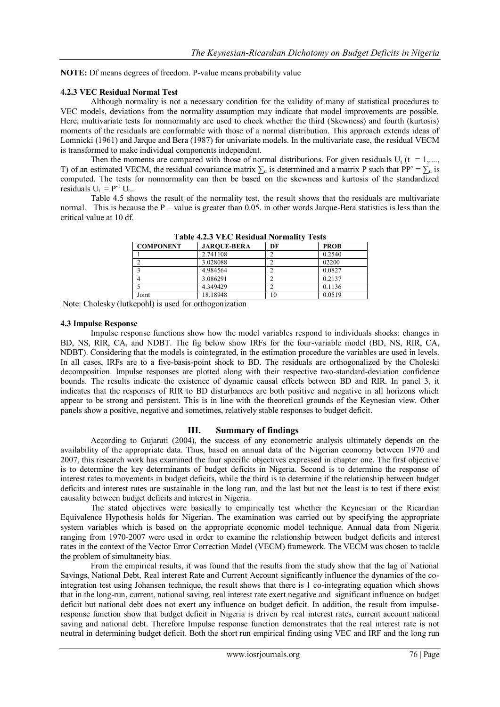**NOTE:** Df means degrees of freedom. P-value means probability value

#### **4.2.3 VEC Residual Normal Test**

Although normality is not a necessary condition for the validity of many of statistical procedures to VEC models, deviations from the normality assumption may indicate that model improvements are possible. Here, multivariate tests for nonnormality are used to check whether the third (Skewness) and fourth (kurtosis) moments of the residuals are conformable with those of a normal distribution. This approach extends ideas of Lomnicki (1961) and Jarque and Bera (1987) for univariate models. In the multivariate case, the residual VECM is transformed to make individual components independent.

Then the moments are compared with those of normal distributions. For given residuals  $U_t$  (t = 1,...., T) of an estimated VECM, the residual covariance matrix  $\sum_{\mu}$  is determined and a matrix P such that PP' =  $\sum_{\mu}$  is computed. The tests for nonnormality can then be based on the skewness and kurtosis of the standardized residuals  $U_t = P^{-1} U_t$ .

Table 4.5 shows the result of the normality test, the result shows that the residuals are multivariate normal. This is because the  $P -$  value is greater than 0.05. in other words Jarque-Bera statistics is less than the critical value at 10 df.

| <b>COMPONENT</b> | <b>JAROUE-BERA</b> | DF | <b>PROB</b> |
|------------------|--------------------|----|-------------|
|                  | 2.741108           |    | 0.2540      |
|                  | 3.028088           |    | 02200       |
|                  | 4.984564           |    | 0.0827      |
|                  | 3.086291           |    | 0.2137      |
|                  | 4.349429           |    | 0.1136      |
| Joint            | 18.18948           | 10 | 0.0519      |

**Table 4.2.3 VEC Residual Normality Tests**

Note: Cholesky (lutkepohl) is used for orthogonization

#### **4.3 Impulse Response**

Impulse response functions show how the model variables respond to individuals shocks: changes in BD, NS, RIR, CA, and NDBT. The fig below show IRFs for the four-variable model (BD, NS, RIR, CA, NDBT). Considering that the models is cointegrated, in the estimation procedure the variables are used in levels. In all cases, IRFs are to a five-basis-point shock to BD. The residuals are orthogonalized by the Choleski decomposition. Impulse responses are plotted along with their respective two-standard-deviation confidence bounds. The results indicate the existence of dynamic causal effects between BD and RIR. In panel 3, it indicates that the responses of RIR to BD disturbances are both positive and negative in all horizons which appear to be strong and persistent. This is in line with the theoretical grounds of the Keynesian view. Other panels show a positive, negative and sometimes, relatively stable responses to budget deficit.

# **III. Summary of findings**

According to Gujarati (2004), the success of any econometric analysis ultimately depends on the availability of the appropriate data. Thus, based on annual data of the Nigerian economy between 1970 and 2007, this research work has examined the four specific objectives expressed in chapter one. The first objective is to determine the key determinants of budget deficits in Nigeria. Second is to determine the response of interest rates to movements in budget deficits, while the third is to determine if the relationship between budget deficits and interest rates are sustainable in the long run, and the last but not the least is to test if there exist causality between budget deficits and interest in Nigeria.

The stated objectives were basically to empirically test whether the Keynesian or the Ricardian Equivalence Hypothesis holds for Nigerian. The examination was carried out by specifying the appropriate system variables which is based on the appropriate economic model technique. Annual data from Nigeria ranging from 1970-2007 were used in order to examine the relationship between budget deficits and interest rates in the context of the Vector Error Correction Model (VECM) framework. The VECM was chosen to tackle the problem of simultaneity bias.

From the empirical results, it was found that the results from the study show that the lag of National Savings, National Debt, Real interest Rate and Current Account significantly influence the dynamics of the cointegration test using Johansen technique, the result shows that there is 1 co-integrating equation which shows that in the long-run, current, national saving, real interest rate exert negative and significant influence on budget deficit but national debt does not exert any influence on budget deficit. In addition, the result from impulseresponse function show that budget deficit in Nigeria is driven by real interest rates, current account national saving and national debt. Therefore Impulse response function demonstrates that the real interest rate is not neutral in determining budget deficit. Both the short run empirical finding using VEC and IRF and the long run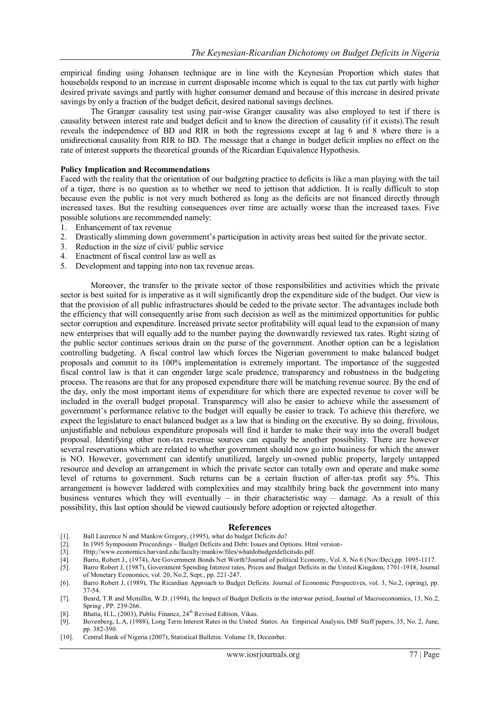empirical finding using Johansen technique are in line with the Keynesian Proportion which states that households respond to an increase in current disposable income which is equal to the tax cut partly with higher desired private savings and partly with higher consumer demand and because of this increase in desired private savings by only a fraction of the budget deficit, desired national savings declines.

The Granger causality test using pair-wise Granger causality was also employed to test if there is causality between interest rate and budget deficit and to know the direction of causality (if it exists).The result reveals the independence of BD and RIR in both the regressions except at lag 6 and 8 where there is a unidirectional causality from RIR to BD. The message that a change in budget deficit implies no effect on the rate of interest supports the theoretical grounds of the Ricardian Equivalence Hypothesis.

#### **Policy Implication and Recommendations**

Faced with the reality that the orientation of our budgeting practice to deficits is like a man playing with the tail of a tiger, there is no question as to whether we need to jettison that addiction. It is really difficult to stop because even the public is not very much bothered as long as the deficits are not financed directly through increased taxes. But the resulting consequences over time are actually worse than the increased taxes. Five possible solutions are recommended namely:

- 1. Enhancement of tax revenue
- 2. Drastically slimming down government"s participation in activity areas best suited for the private sector.
- 3. Reduction in the size of civil/ public service
- 4. Enactment of fiscal control law as well as
- 5. Development and tapping into non tax revenue areas.

Moreover, the transfer to the private sector of those responsibilities and activities which the private sector is best suited for is imperative as it will significantly drop the expenditure side of the budget. Our view is that the provision of all public infrastructures should be ceded to the private sector. The advantages include both the efficiency that will consequently arise from such decision as well as the minimized opportunities for public sector corruption and expenditure. Increased private sector profitability will equal lead to the expansion of many new enterprises that will equally add to the number paying the downwardly reviewed tax rates. Right sizing of the public sector continues serious drain on the purse of the government. Another option can be a legislation controlling budgeting. A fiscal control law which forces the Nigerian government to make balanced budget proposals and commit to its 100% implementation is extremely important. The importance of the suggested fiscal control law is that it can engender large scale prudence, transparency and robustness in the budgeting process. The reasons are that for any proposed expenditure there will be matching revenue source. By the end of the day, only the most important items of expenditure for which there are expected revenue to cover will be included in the overall budget proposal. Transparency will also be easier to achieve while the assessment of government"s performance relative to the budget will equally be easier to track. To achieve this therefore, we expect the legislature to enact balanced budget as a law that is binding on the executive. By so doing, frivolous, unjustifiable and nebulous expenditure proposals will find it harder to make their way into the overall budget proposal. Identifying other non-tax revenue sources can equally be another possibility. There are however several reservations which are related to whether government should now go into business for which the answer is NO. However, government can identify unutilized, largely un-owned public property, largely untapped resource and develop an arrangement in which the private sector can totally own and operate and make some level of returns to government. Such returns can be a certain fraction of after-tax profit say 5%. This arrangement is however laddered with complexities and may stealthily bring back the government into many business ventures which they will eventually – in their characteristic way – damage. As a result of this possibility, this last option should be viewed cautiously before adoption or rejected altogether.

#### **References**

- [1]. Ball Laurence N and Mankiw Gregory, (1995), what do budget Deficits do?
- [2]. In 1995 Symposium Proceedings Budget Deficits and Debt: Issues and Options. Html version-
- [3]. Http://www.economics.harvard.edu/faculty/mankiw/files/whatdobudgetdeficitsdo.pdf. [4]. Barro. Robert J., (1974). Are Government Bonds Net Worth?Journal of political Econo
- [4]. Barro, Robert J., (1974), Are Government Bonds Net Worth?Journal of political Economy, Vol. 8, No 6 (Nov/Dec),pp. 1095-1117.
- [5]. Barro Robert J, (1987), Government Spending Interest rates, Prices and Budget Deficits in the United Kingdom, 1701-1918, Journal of Monetary Economics, vol. 20, No.2, Sept., pp. 221-247.
- [6]. Barro Robert J, (1989), The Ricardian Approach to Budget Deficits. Journal of Economic Perspectives, vol. 3, No.2, (spring), pp. 37-54.
- [7]. Beard, T.R and Mcmillin, W.D. (1994), the Impact of Budget Deficits in the interwar period, Journal of Macroeconomics, 13, No.2, Spring , PP. 239-266.
- [8]. Bhatia, H.L, (2003), Public Finance, 24<sup>th</sup> Revised Edition, Vikas.
- [9]. Bovenberg, L.A, (1988), Long Term Interest Rates in the United States: An Empirical Analysis, IMF Staff papers, 35, No. 2, June, pp. 382-390.
- [10]. Central Bank of Nigeria (2007), Statistical Bulletin. Volume 18, December.